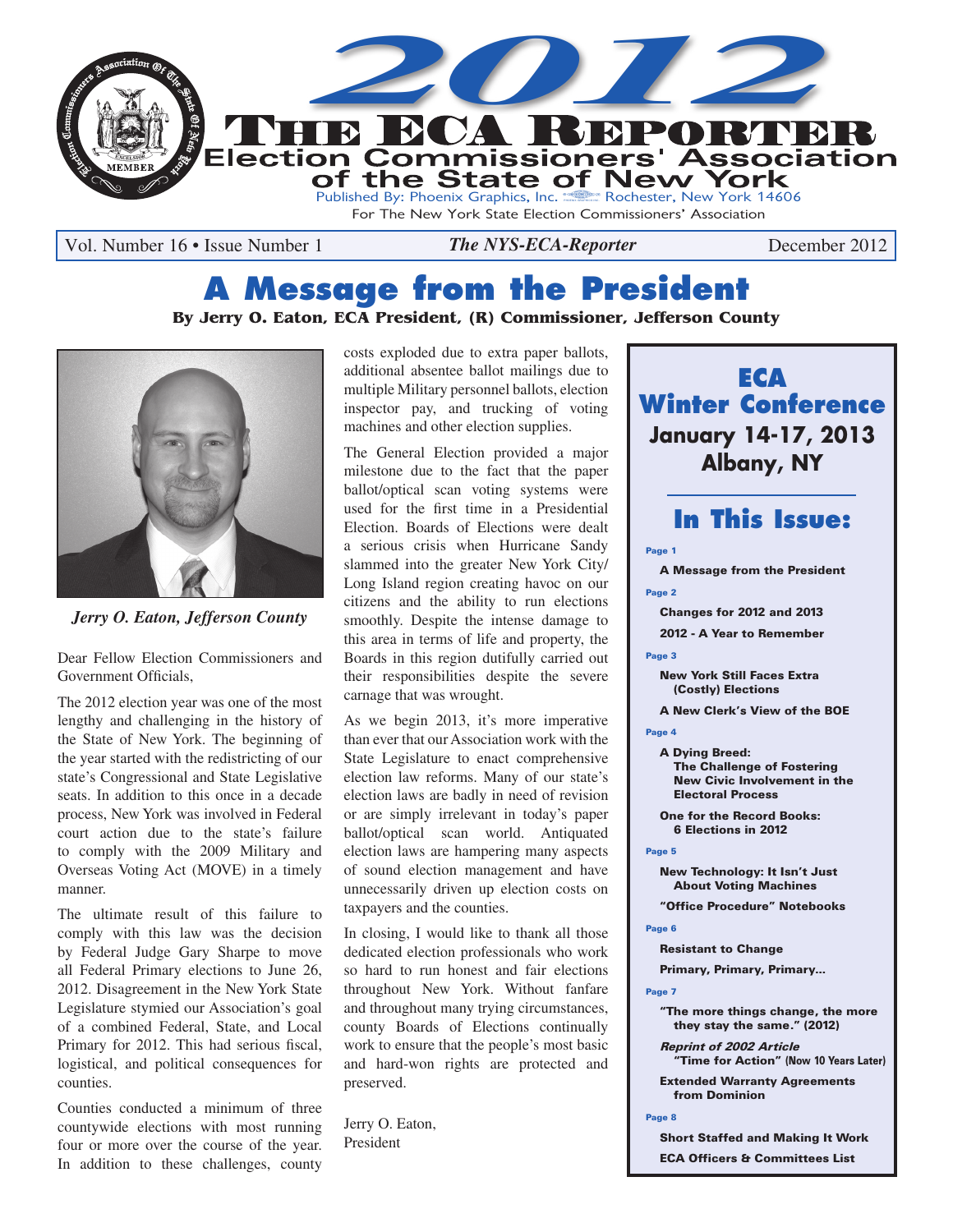

Vol. Number 16 • Issue Number 1 *The NYS-ECA-Reporter* December 2012

# **A Message from the President**

#### **By Jerry O. Eaton, ECA President, (R) Commissioner, Jefferson County**



*Jerry O. Eaton, Jefferson County*

Dear Fellow Election Commissioners and Government Officials,

The 2012 election year was one of the most lengthy and challenging in the history of the State of New York. The beginning of the year started with the redistricting of our state's Congressional and State Legislative seats. In addition to this once in a decade process, New York was involved in Federal court action due to the state's failure to comply with the 2009 Military and Overseas Voting Act (MOVE) in a timely manner.

The ultimate result of this failure to comply with this law was the decision by Federal Judge Gary Sharpe to move all Federal Primary elections to June 26, 2012. Disagreement in the New York State Legislature stymied our Association's goal of a combined Federal, State, and Local Primary for 2012. This had serious fiscal, logistical, and political consequences for counties.

Counties conducted a minimum of three countywide elections with most running four or more over the course of the year. In addition to these challenges, county

costs exploded due to extra paper ballots, additional absentee ballot mailings due to multiple Military personnel ballots, election inspector pay, and trucking of voting machines and other election supplies.

The General Election provided a major milestone due to the fact that the paper ballot/optical scan voting systems were used for the first time in a Presidential Election. Boards of Elections were dealt a serious crisis when Hurricane Sandy slammed into the greater New York City/ Long Island region creating havoc on our citizens and the ability to run elections smoothly. Despite the intense damage to this area in terms of life and property, the Boards in this region dutifully carried out their responsibilities despite the severe carnage that was wrought.

As we begin 2013, it's more imperative than ever that our Association work with the State Legislature to enact comprehensive election law reforms. Many of our state's election laws are badly in need of revision or are simply irrelevant in today's paper ballot/optical scan world. Antiquated election laws are hampering many aspects of sound election management and have unnecessarily driven up election costs on taxpayers and the counties.

In closing, I would like to thank all those dedicated election professionals who work so hard to run honest and fair elections throughout New York. Without fanfare and throughout many trying circumstances, county Boards of Elections continually work to ensure that the people's most basic and hard-won rights are protected and preserved.

Jerry O. Eaton, President



### **In This Issue:**

#### Page 1

A Message from the President Page 2

- Changes for 2012 and 2013
- 2012 A Year to Remember

#### Page 3

New York Still Faces Extra (Costly) Elections

A New Clerk's View of the BOE

Page 4

- A Dying Breed: The Challenge of Fostering New Civic Involvement in the Electoral Process
- One for the Record Books: 6 Elections in 2012

#### Page 5

New Technology: It Isn't Just About Voting Machines

"Office Procedure" Notebooks

#### Page 6

Resistant to Change

Primary, Primary, Primary...

#### Page 7

"The more things change, the more they stay the same." (2012)

Reprint of 2002 Article 'Time for Action" (Now 10 Years Later)

Extended Warranty Agreements from Dominion

Page 8

Short Staffed and Making It Work ECA Officers & Committees List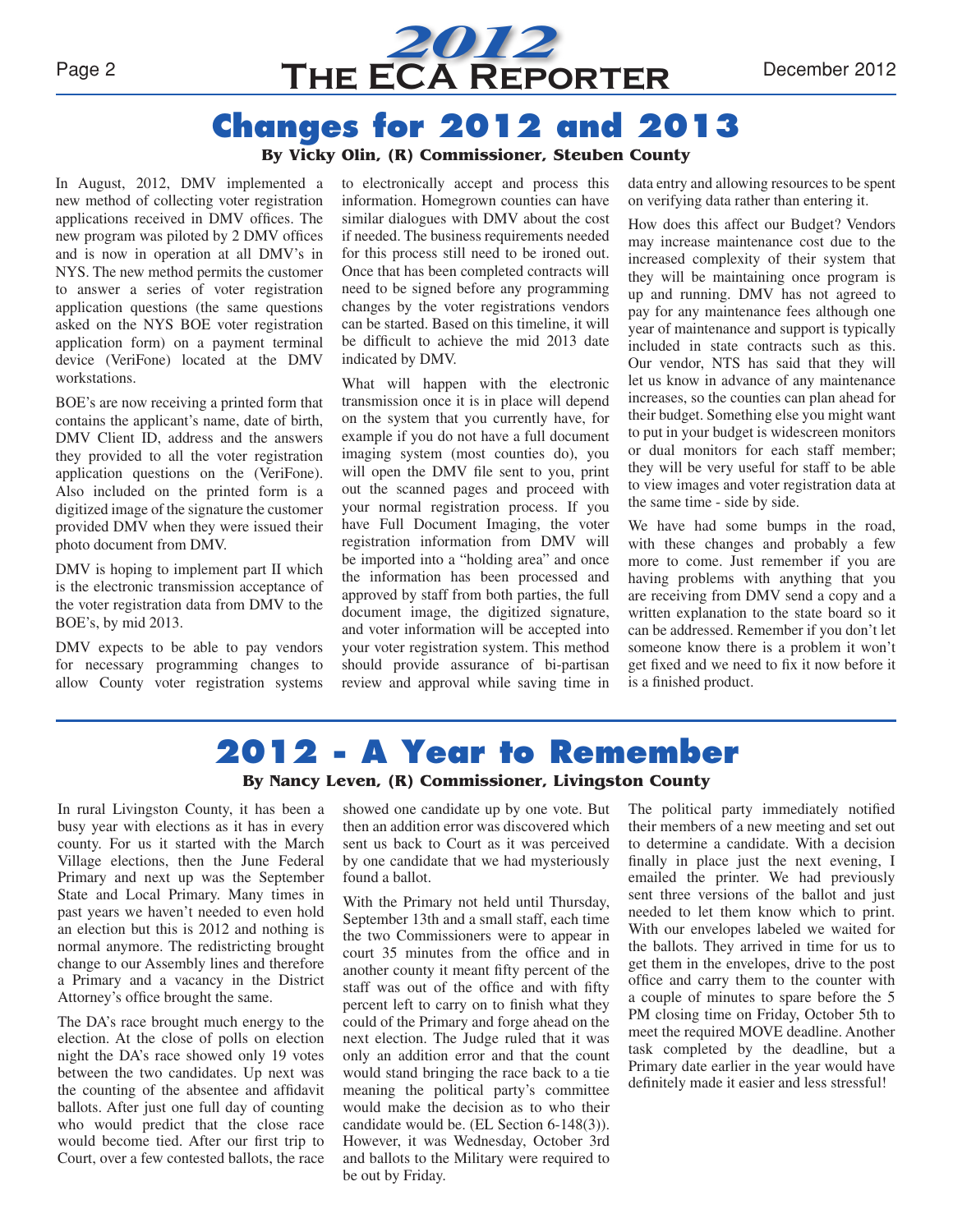

# **Changes for 2012 and 2013**

#### **By Vicky Olin, (R) Commissioner, Steuben County**

In August, 2012, DMV implemented a new method of collecting voter registration applications received in DMV offices. The new program was piloted by 2 DMV offices and is now in operation at all DMV's in NYS. The new method permits the customer to answer a series of voter registration application questions (the same questions asked on the NYS BOE voter registration application form) on a payment terminal device (VeriFone) located at the DMV workstations.

BOE's are now receiving a printed form that contains the applicant's name, date of birth, DMV Client ID, address and the answers they provided to all the voter registration application questions on the (VeriFone). Also included on the printed form is a digitized image of the signature the customer provided DMV when they were issued their photo document from DMV.

DMV is hoping to implement part II which is the electronic transmission acceptance of the voter registration data from DMV to the BOE's, by mid 2013.

DMV expects to be able to pay vendors for necessary programming changes to allow County voter registration systems to electronically accept and process this information. Homegrown counties can have similar dialogues with DMV about the cost if needed. The business requirements needed for this process still need to be ironed out. Once that has been completed contracts will need to be signed before any programming changes by the voter registrations vendors can be started. Based on this timeline, it will be difficult to achieve the mid 2013 date indicated by DMV.

What will happen with the electronic transmission once it is in place will depend on the system that you currently have, for example if you do not have a full document imaging system (most counties do), you will open the DMV file sent to you, print out the scanned pages and proceed with your normal registration process. If you have Full Document Imaging, the voter registration information from DMV will be imported into a "holding area" and once the information has been processed and approved by staff from both parties, the full document image, the digitized signature, and voter information will be accepted into your voter registration system. This method should provide assurance of bi-partisan review and approval while saving time in

data entry and allowing resources to be spent on verifying data rather than entering it.

How does this affect our Budget? Vendors may increase maintenance cost due to the increased complexity of their system that they will be maintaining once program is up and running. DMV has not agreed to pay for any maintenance fees although one year of maintenance and support is typically included in state contracts such as this. Our vendor, NTS has said that they will let us know in advance of any maintenance increases, so the counties can plan ahead for their budget. Something else you might want to put in your budget is widescreen monitors or dual monitors for each staff member; they will be very useful for staff to be able to view images and voter registration data at the same time - side by side.

We have had some bumps in the road, with these changes and probably a few more to come. Just remember if you are having problems with anything that you are receiving from DMV send a copy and a written explanation to the state board so it can be addressed. Remember if you don't let someone know there is a problem it won't get fixed and we need to fix it now before it is a finished product.

# **2012 - A Year to Remember**

#### **By Nancy Leven, (R) Commissioner, Livingston County**

In rural Livingston County, it has been a busy year with elections as it has in every county. For us it started with the March Village elections, then the June Federal Primary and next up was the September State and Local Primary. Many times in past years we haven't needed to even hold an election but this is 2012 and nothing is normal anymore. The redistricting brought change to our Assembly lines and therefore a Primary and a vacancy in the District Attorney's office brought the same.

The DA's race brought much energy to the election. At the close of polls on election night the DA's race showed only 19 votes between the two candidates. Up next was the counting of the absentee and affidavit ballots. After just one full day of counting who would predict that the close race would become tied. After our first trip to Court, over a few contested ballots, the race

showed one candidate up by one vote. But then an addition error was discovered which sent us back to Court as it was perceived by one candidate that we had mysteriously found a ballot.

With the Primary not held until Thursday, September 13th and a small staff, each time the two Commissioners were to appear in court 35 minutes from the office and in another county it meant fifty percent of the staff was out of the office and with fifty percent left to carry on to finish what they could of the Primary and forge ahead on the next election. The Judge ruled that it was only an addition error and that the count would stand bringing the race back to a tie meaning the political party's committee would make the decision as to who their candidate would be. (EL Section 6-148(3)). However, it was Wednesday, October 3rd and ballots to the Military were required to be out by Friday.

The political party immediately notified their members of a new meeting and set out to determine a candidate. With a decision finally in place just the next evening, I emailed the printer. We had previously sent three versions of the ballot and just needed to let them know which to print. With our envelopes labeled we waited for the ballots. They arrived in time for us to get them in the envelopes, drive to the post office and carry them to the counter with a couple of minutes to spare before the 5 PM closing time on Friday, October 5th to meet the required MOVE deadline. Another task completed by the deadline, but a Primary date earlier in the year would have definitely made it easier and less stressful!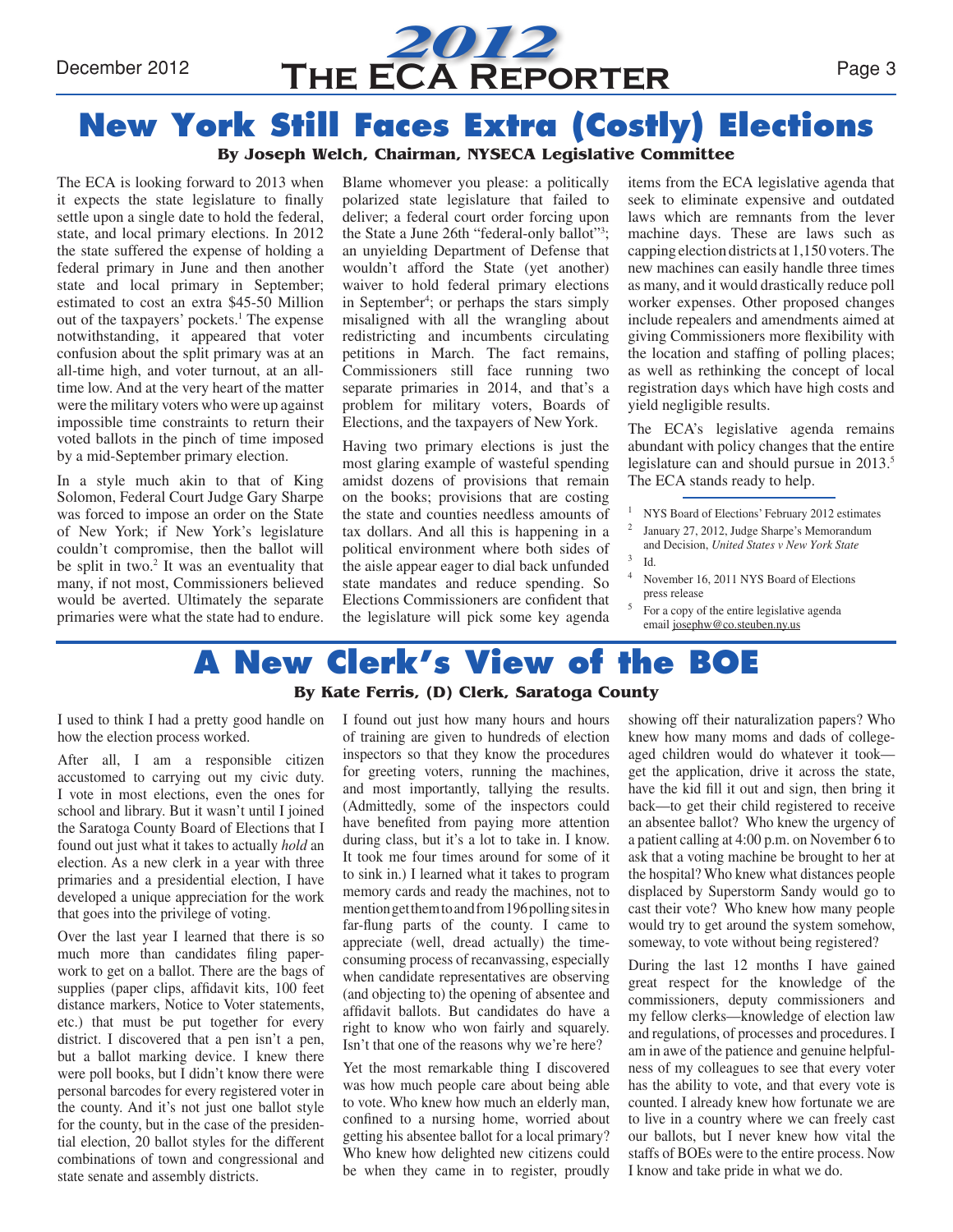

#### **By Joseph Welch, Chairman, NYSECA Legislative Committee**

The ECA is looking forward to 2013 when it expects the state legislature to finally settle upon a single date to hold the federal, state, and local primary elections. In 2012 the state suffered the expense of holding a federal primary in June and then another state and local primary in September; estimated to cost an extra \$45-50 Million out of the taxpayers' pockets.<sup>1</sup> The expense notwithstanding, it appeared that voter confusion about the split primary was at an all-time high, and voter turnout, at an alltime low. And at the very heart of the matter were the military voters who were up against impossible time constraints to return their voted ballots in the pinch of time imposed by a mid-September primary election.

In a style much akin to that of King Solomon, Federal Court Judge Gary Sharpe was forced to impose an order on the State of New York; if New York's legislature couldn't compromise, then the ballot will be split in two.<sup>2</sup> It was an eventuality that many, if not most, Commissioners believed would be averted. Ultimately the separate primaries were what the state had to endure.

Blame whomever you please: a politically polarized state legislature that failed to deliver; a federal court order forcing upon the State a June 26th "federal-only ballot"3 ; an unyielding Department of Defense that wouldn't afford the State (yet another) waiver to hold federal primary elections in September<sup>4</sup>; or perhaps the stars simply misaligned with all the wrangling about redistricting and incumbents circulating petitions in March. The fact remains, Commissioners still face running two separate primaries in 2014, and that's a problem for military voters, Boards of Elections, and the taxpayers of New York.

Having two primary elections is just the most glaring example of wasteful spending amidst dozens of provisions that remain on the books; provisions that are costing the state and counties needless amounts of tax dollars. And all this is happening in a political environment where both sides of the aisle appear eager to dial back unfunded state mandates and reduce spending. So Elections Commissioners are confident that the legislature will pick some key agenda

items from the ECA legislative agenda that seek to eliminate expensive and outdated laws which are remnants from the lever machine days. These are laws such as capping election districts at 1,150 voters. The new machines can easily handle three times as many, and it would drastically reduce poll worker expenses. Other proposed changes include repealers and amendments aimed at giving Commissioners more flexibility with the location and staffing of polling places; as well as rethinking the concept of local registration days which have high costs and yield negligible results.

The ECA's legislative agenda remains abundant with policy changes that the entire legislature can and should pursue in 2013.<sup>5</sup> The ECA stands ready to help.

- NYS Board of Elections' February 2012 estimates
- <sup>2</sup> January 27, 2012, Judge Sharpe's Memorandum and Decision, *United States v New York State* <sup>3</sup> Id.
- November 16, 2011 NYS Board of Elections press release
- <sup>5</sup> For a copy of the entire legislative agenda email josephw@co.steuben.ny.us

# **A New Clerk's View of the BOE**

#### **By Kate Ferris, (D) Clerk, Saratoga County**

I used to think I had a pretty good handle on how the election process worked.

After all, I am a responsible citizen accustomed to carrying out my civic duty. I vote in most elections, even the ones for school and library. But it wasn't until I joined the Saratoga County Board of Elections that I found out just what it takes to actually *hold* an election. As a new clerk in a year with three primaries and a presidential election, I have developed a unique appreciation for the work that goes into the privilege of voting.

Over the last year I learned that there is so much more than candidates filing paperwork to get on a ballot. There are the bags of supplies (paper clips, affidavit kits, 100 feet distance markers, Notice to Voter statements, etc.) that must be put together for every district. I discovered that a pen isn't a pen, but a ballot marking device. I knew there were poll books, but I didn't know there were personal barcodes for every registered voter in the county. And it's not just one ballot style for the county, but in the case of the presidential election, 20 ballot styles for the different combinations of town and congressional and state senate and assembly districts.

I found out just how many hours and hours of training are given to hundreds of election inspectors so that they know the procedures for greeting voters, running the machines, and most importantly, tallying the results. (Admittedly, some of the inspectors could have benefited from paying more attention during class, but it's a lot to take in. I know. It took me four times around for some of it to sink in.) I learned what it takes to program memory cards and ready the machines, not to mention get them to and from 196 polling sites in far-flung parts of the county. I came to appreciate (well, dread actually) the timeconsuming process of recanvassing, especially when candidate representatives are observing (and objecting to) the opening of absentee and affidavit ballots. But candidates do have a right to know who won fairly and squarely. Isn't that one of the reasons why we're here?

Yet the most remarkable thing I discovered was how much people care about being able to vote. Who knew how much an elderly man, confined to a nursing home, worried about getting his absentee ballot for a local primary? Who knew how delighted new citizens could be when they came in to register, proudly

showing off their naturalization papers? Who knew how many moms and dads of collegeaged children would do whatever it took get the application, drive it across the state, have the kid fill it out and sign, then bring it back—to get their child registered to receive an absentee ballot? Who knew the urgency of a patient calling at 4:00 p.m. on November 6 to ask that a voting machine be brought to her at the hospital? Who knew what distances people displaced by Superstorm Sandy would go to cast their vote? Who knew how many people would try to get around the system somehow, someway, to vote without being registered?

During the last 12 months I have gained great respect for the knowledge of the commissioners, deputy commissioners and my fellow clerks—knowledge of election law and regulations, of processes and procedures. I am in awe of the patience and genuine helpfulness of my colleagues to see that every voter has the ability to vote, and that every vote is counted. I already knew how fortunate we are to live in a country where we can freely cast our ballots, but I never knew how vital the staffs of BOEs were to the entire process. Now I know and take pride in what we do.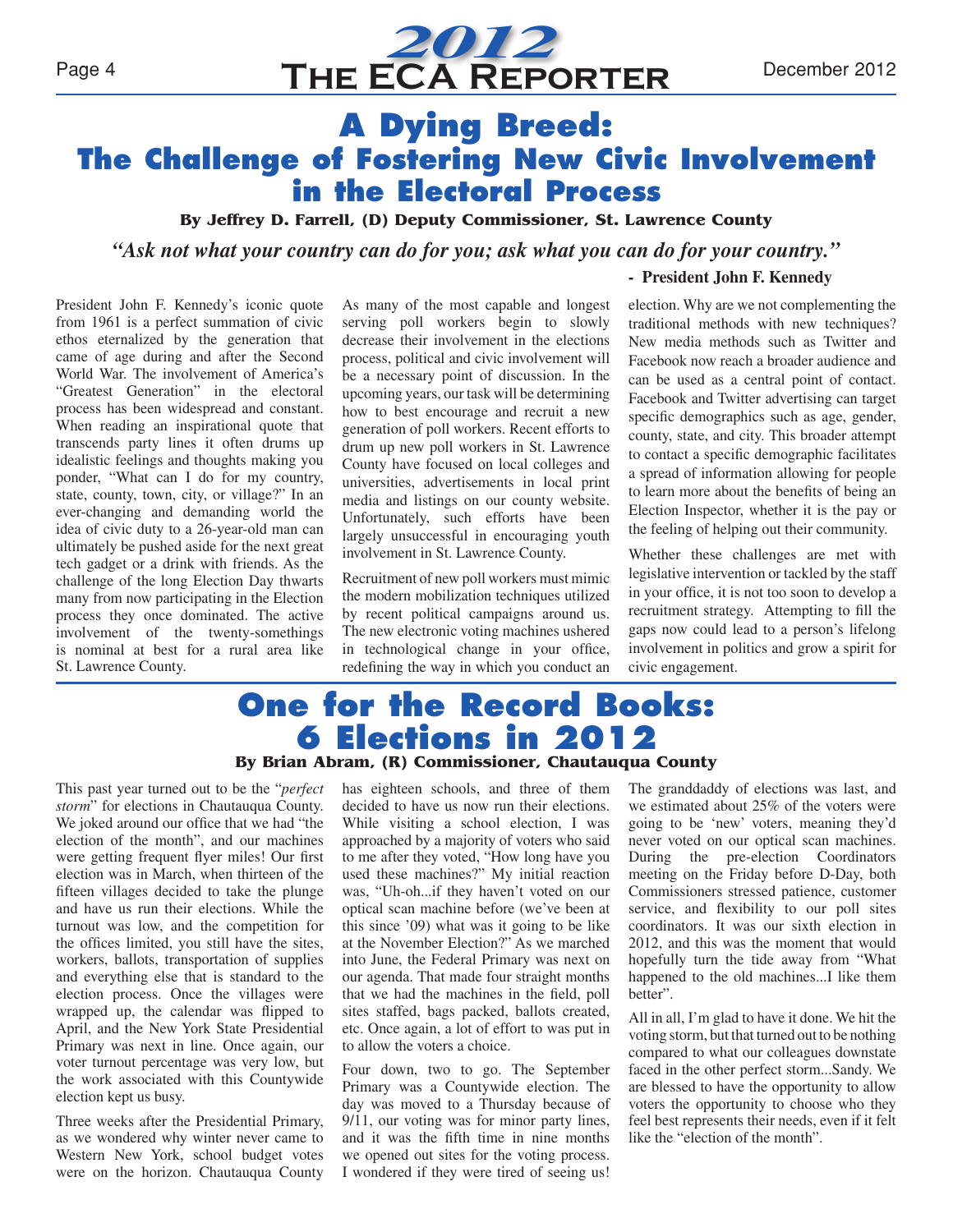# *2012* Page 4 **THE ECA REPORTER** December 2012

### **A Dying Breed: The Challenge of Fostering New Civic Involvement in the Electoral Process**

**By Jeffrey D. Farrell, (D) Deputy Commissioner, St. Lawrence County**

*"Ask not what your country can do for you; ask what you can do for your country."*

President John F. Kennedy's iconic quote from 1961 is a perfect summation of civic ethos eternalized by the generation that came of age during and after the Second World War. The involvement of America's "Greatest Generation" in the electoral process has been widespread and constant. When reading an inspirational quote that transcends party lines it often drums up idealistic feelings and thoughts making you ponder, "What can I do for my country, state, county, town, city, or village?" In an ever-changing and demanding world the idea of civic duty to a 26-year-old man can ultimately be pushed aside for the next great tech gadget or a drink with friends. As the challenge of the long Election Day thwarts many from now participating in the Election process they once dominated. The active involvement of the twenty-somethings is nominal at best for a rural area like St. Lawrence County.

As many of the most capable and longest serving poll workers begin to slowly decrease their involvement in the elections process, political and civic involvement will be a necessary point of discussion. In the upcoming years, our task will be determining how to best encourage and recruit a new generation of poll workers. Recent efforts to drum up new poll workers in St. Lawrence County have focused on local colleges and universities, advertisements in local print media and listings on our county website. Unfortunately, such efforts have been largely unsuccessful in encouraging youth involvement in St. Lawrence County.

Recruitment of new poll workers must mimic the modern mobilization techniques utilized by recent political campaigns around us. The new electronic voting machines ushered in technological change in your office, redefining the way in which you conduct an

#### **- President John F. Kennedy**

election. Why are we not complementing the traditional methods with new techniques? New media methods such as Twitter and Facebook now reach a broader audience and can be used as a central point of contact. Facebook and Twitter advertising can target specific demographics such as age, gender, county, state, and city. This broader attempt to contact a specific demographic facilitates a spread of information allowing for people to learn more about the benefits of being an Election Inspector, whether it is the pay or the feeling of helping out their community.

Whether these challenges are met with legislative intervention or tackled by the staff in your office, it is not too soon to develop a recruitment strategy. Attempting to fill the gaps now could lead to a person's lifelong involvement in politics and grow a spirit for civic engagement.

### **One for the Record Books: 6 Elections in 2012 By Brian Abram, (R) Commissioner, Chautauqua County**

This past year turned out to be the "*perfect storm*" for elections in Chautauqua County. We joked around our office that we had "the election of the month", and our machines were getting frequent flyer miles! Our first election was in March, when thirteen of the fifteen villages decided to take the plunge and have us run their elections. While the turnout was low, and the competition for the offices limited, you still have the sites, workers, ballots, transportation of supplies and everything else that is standard to the election process. Once the villages were wrapped up, the calendar was flipped to April, and the New York State Presidential Primary was next in line. Once again, our voter turnout percentage was very low, but the work associated with this Countywide election kept us busy.

Three weeks after the Presidential Primary, as we wondered why winter never came to Western New York, school budget votes were on the horizon. Chautauqua County

has eighteen schools, and three of them decided to have us now run their elections. While visiting a school election, I was approached by a majority of voters who said to me after they voted, "How long have you used these machines?" My initial reaction was, "Uh-oh...if they haven't voted on our optical scan machine before (we've been at this since '09) what was it going to be like at the November Election?" As we marched into June, the Federal Primary was next on our agenda. That made four straight months that we had the machines in the field, poll sites staffed, bags packed, ballots created, etc. Once again, a lot of effort to was put in to allow the voters a choice.

Four down, two to go. The September Primary was a Countywide election. The day was moved to a Thursday because of 9/11, our voting was for minor party lines, and it was the fifth time in nine months we opened out sites for the voting process. I wondered if they were tired of seeing us!

The granddaddy of elections was last, and we estimated about 25% of the voters were going to be 'new' voters, meaning they'd never voted on our optical scan machines. During the pre-election Coordinators meeting on the Friday before D-Day, both Commissioners stressed patience, customer service, and flexibility to our poll sites coordinators. It was our sixth election in 2012, and this was the moment that would hopefully turn the tide away from "What happened to the old machines...I like them better".

All in all, I'm glad to have it done. We hit the voting storm, but that turned out to be nothing compared to what our colleagues downstate faced in the other perfect storm...Sandy. We are blessed to have the opportunity to allow voters the opportunity to choose who they feel best represents their needs, even if it felt like the "election of the month".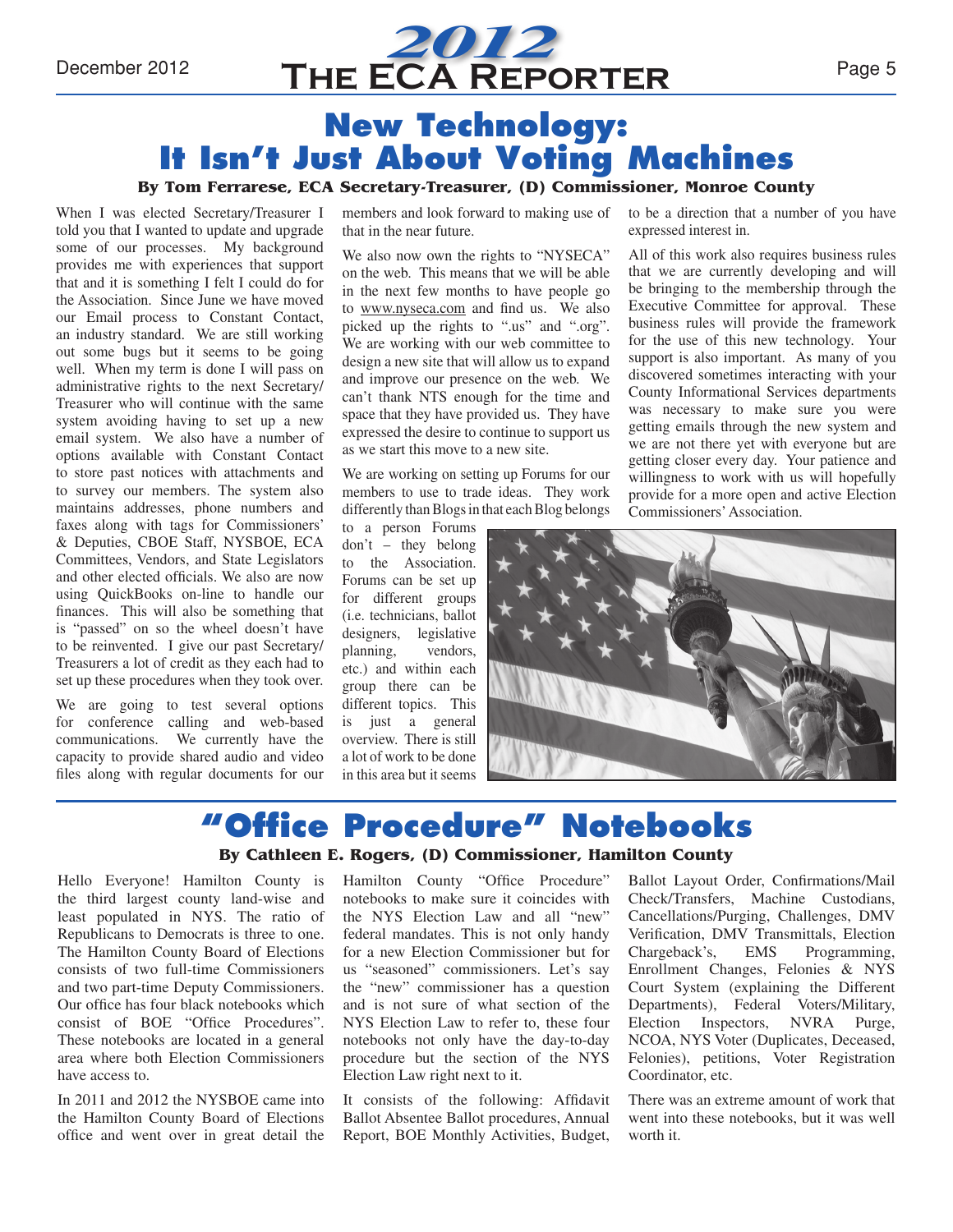

## **New Technology: It Isn't Just About Voting Machines**

#### **By Tom Ferrarese, ECA Secretary-Treasurer, (D) Commissioner, Monroe County**

When I was elected Secretary/Treasurer I told you that I wanted to update and upgrade some of our processes. My background provides me with experiences that support that and it is something I felt I could do for the Association. Since June we have moved our Email process to Constant Contact, an industry standard. We are still working out some bugs but it seems to be going well. When my term is done I will pass on administrative rights to the next Secretary/ Treasurer who will continue with the same system avoiding having to set up a new email system. We also have a number of options available with Constant Contact to store past notices with attachments and to survey our members. The system also maintains addresses, phone numbers and faxes along with tags for Commissioners' & Deputies, CBOE Staff, NYSBOE, ECA Committees, Vendors, and State Legislators and other elected officials. We also are now using QuickBooks on-line to handle our finances. This will also be something that is "passed" on so the wheel doesn't have to be reinvented. I give our past Secretary/ Treasurers a lot of credit as they each had to set up these procedures when they took over.

We are going to test several options for conference calling and web-based communications. We currently have the capacity to provide shared audio and video files along with regular documents for our

members and look forward to making use of that in the near future.

We also now own the rights to "NYSECA" on the web. This means that we will be able in the next few months to have people go to www.nyseca.com and find us. We also picked up the rights to ".us" and ".org". We are working with our web committee to design a new site that will allow us to expand and improve our presence on the web. We can't thank NTS enough for the time and space that they have provided us. They have expressed the desire to continue to support us as we start this move to a new site.

We are working on setting up Forums for our members to use to trade ideas. They work differently than Blogs in that each Blog belongs

to a person Forums don't – they belong to the Association. Forums can be set up for different groups (i.e. technicians, ballot designers, legislative planning, vendors, etc.) and within each group there can be different topics. This is just a general overview. There is still a lot of work to be done in this area but it seems

to be a direction that a number of you have expressed interest in.

All of this work also requires business rules that we are currently developing and will be bringing to the membership through the Executive Committee for approval. These business rules will provide the framework for the use of this new technology. Your support is also important. As many of you discovered sometimes interacting with your County Informational Services departments was necessary to make sure you were getting emails through the new system and we are not there yet with everyone but are getting closer every day. Your patience and willingness to work with us will hopefully provide for a more open and active Election Commissioners' Association.



## **"Office Procedure" Notebooks**

#### **By Cathleen E. Rogers, (D) Commissioner, Hamilton County**

Hello Everyone! Hamilton County is the third largest county land-wise and least populated in NYS. The ratio of Republicans to Democrats is three to one. The Hamilton County Board of Elections consists of two full-time Commissioners and two part-time Deputy Commissioners. Our office has four black notebooks which consist of BOE "Office Procedures". These notebooks are located in a general area where both Election Commissioners have access to.

In 2011 and 2012 the NYSBOE came into the Hamilton County Board of Elections office and went over in great detail the Hamilton County "Office Procedure" notebooks to make sure it coincides with the NYS Election Law and all "new" federal mandates. This is not only handy for a new Election Commissioner but for us "seasoned" commissioners. Let's say the "new" commissioner has a question and is not sure of what section of the NYS Election Law to refer to, these four notebooks not only have the day-to-day procedure but the section of the NYS Election Law right next to it.

It consists of the following: Affidavit Ballot Absentee Ballot procedures, Annual Report, BOE Monthly Activities, Budget, Ballot Layout Order, Confirmations/Mail Check/Transfers, Machine Custodians, Cancellations/Purging, Challenges, DMV Verification, DMV Transmittals, Election Chargeback's, EMS Programming, Enrollment Changes, Felonies & NYS Court System (explaining the Different Departments), Federal Voters/Military, Election Inspectors, NVRA Purge, NCOA, NYS Voter (Duplicates, Deceased, Felonies), petitions, Voter Registration Coordinator, etc.

There was an extreme amount of work that went into these notebooks, but it was well worth it.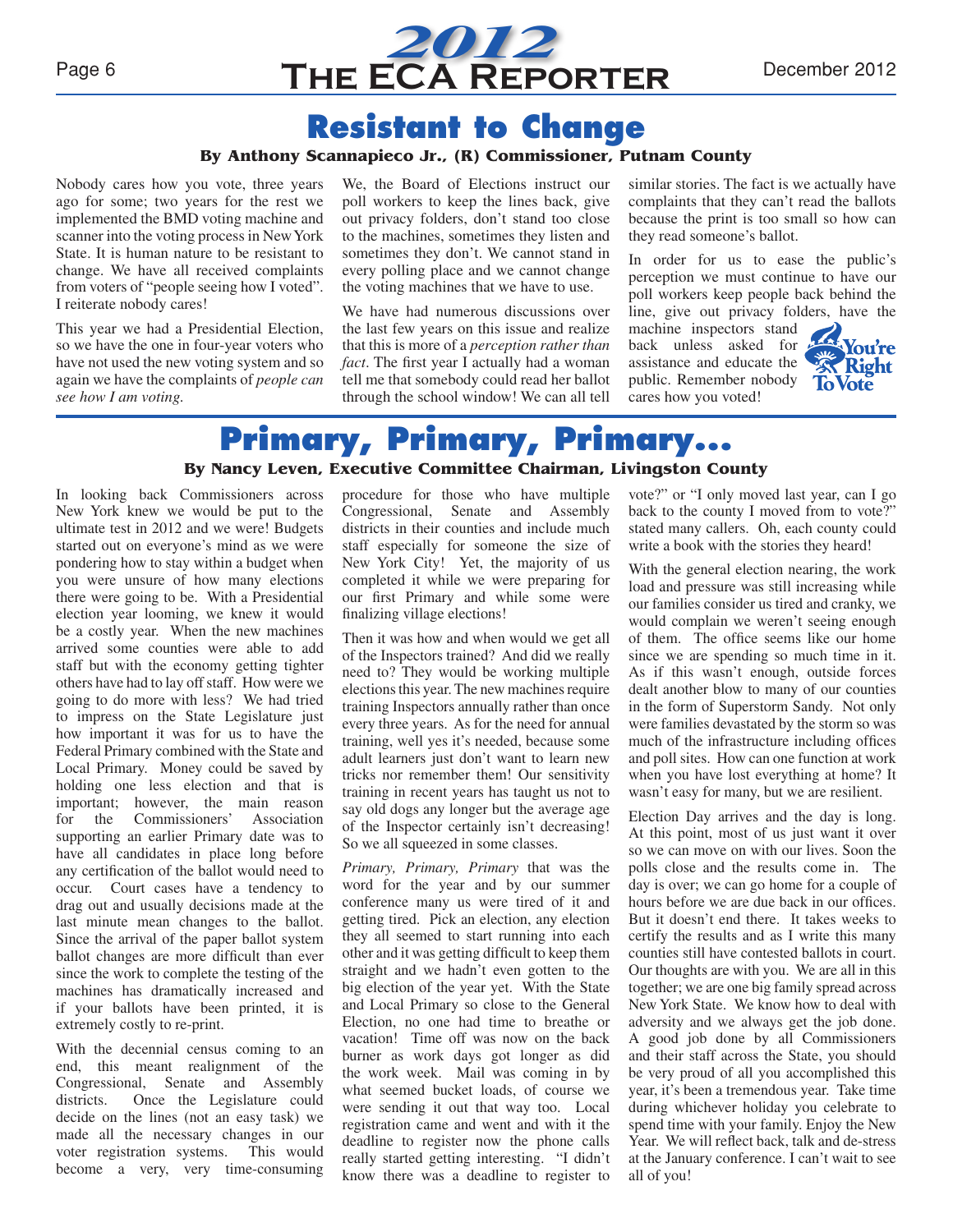

### **Resistant to Change**

#### **By Anthony Scannapieco Jr., (R) Commissioner, Putnam County**

Nobody cares how you vote, three years ago for some; two years for the rest we implemented the BMD voting machine and scanner into the voting process in New York State. It is human nature to be resistant to change. We have all received complaints from voters of "people seeing how I voted". I reiterate nobody cares!

This year we had a Presidential Election, so we have the one in four-year voters who have not used the new voting system and so again we have the complaints of *people can see how I am voting.*

We, the Board of Elections instruct our poll workers to keep the lines back, give out privacy folders, don't stand too close to the machines, sometimes they listen and sometimes they don't. We cannot stand in every polling place and we cannot change the voting machines that we have to use.

We have had numerous discussions over the last few years on this issue and realize that this is more of a *perception rather than fact*. The first year I actually had a woman tell me that somebody could read her ballot through the school window! We can all tell

similar stories. The fact is we actually have complaints that they can't read the ballots because the print is too small so how can they read someone's ballot.

In order for us to ease the public's perception we must continue to have our poll workers keep people back behind the line, give out privacy folders, have the

machine inspectors stand back unless asked for assistance and educate the public. Remember nobody cares how you voted!



### **Primary, Primary, Primary... By Nancy Leven, Executive Committee Chairman, Livingston County**

In looking back Commissioners across New York knew we would be put to the ultimate test in 2012 and we were! Budgets started out on everyone's mind as we were pondering how to stay within a budget when you were unsure of how many elections there were going to be. With a Presidential election year looming, we knew it would be a costly year. When the new machines arrived some counties were able to add staff but with the economy getting tighter others have had to lay off staff. How were we going to do more with less? We had tried to impress on the State Legislature just how important it was for us to have the Federal Primary combined with the State and Local Primary. Money could be saved by holding one less election and that is important; however, the main reason for the Commissioners' Association supporting an earlier Primary date was to have all candidates in place long before any certification of the ballot would need to occur. Court cases have a tendency to drag out and usually decisions made at the last minute mean changes to the ballot. Since the arrival of the paper ballot system ballot changes are more difficult than ever since the work to complete the testing of the machines has dramatically increased and if your ballots have been printed, it is extremely costly to re-print.

With the decennial census coming to an end, this meant realignment of the Congressional, Senate and Assembly districts. Once the Legislature could decide on the lines (not an easy task) we made all the necessary changes in our voter registration systems. This would become a very, very time-consuming procedure for those who have multiple Congressional, Senate and Assembly districts in their counties and include much staff especially for someone the size of New York City! Yet, the majority of us completed it while we were preparing for our first Primary and while some were finalizing village elections!

Then it was how and when would we get all of the Inspectors trained? And did we really need to? They would be working multiple elections this year. The new machines require training Inspectors annually rather than once every three years. As for the need for annual training, well yes it's needed, because some adult learners just don't want to learn new tricks nor remember them! Our sensitivity training in recent years has taught us not to say old dogs any longer but the average age of the Inspector certainly isn't decreasing! So we all squeezed in some classes.

*Primary, Primary, Primary* that was the word for the year and by our summer conference many us were tired of it and getting tired. Pick an election, any election they all seemed to start running into each other and it was getting difficult to keep them straight and we hadn't even gotten to the big election of the year yet. With the State and Local Primary so close to the General Election, no one had time to breathe or vacation! Time off was now on the back burner as work days got longer as did the work week. Mail was coming in by what seemed bucket loads, of course we were sending it out that way too. Local registration came and went and with it the deadline to register now the phone calls really started getting interesting. "I didn't know there was a deadline to register to

vote?" or "I only moved last year, can I go back to the county I moved from to vote?" stated many callers. Oh, each county could write a book with the stories they heard!

With the general election nearing, the work load and pressure was still increasing while our families consider us tired and cranky, we would complain we weren't seeing enough of them. The office seems like our home since we are spending so much time in it. As if this wasn't enough, outside forces dealt another blow to many of our counties in the form of Superstorm Sandy. Not only were families devastated by the storm so was much of the infrastructure including offices and poll sites. How can one function at work when you have lost everything at home? It wasn't easy for many, but we are resilient.

Election Day arrives and the day is long. At this point, most of us just want it over so we can move on with our lives. Soon the polls close and the results come in. The day is over; we can go home for a couple of hours before we are due back in our offices. But it doesn't end there. It takes weeks to certify the results and as I write this many counties still have contested ballots in court. Our thoughts are with you. We are all in this together; we are one big family spread across New York State. We know how to deal with adversity and we always get the job done. A good job done by all Commissioners and their staff across the State, you should be very proud of all you accomplished this year, it's been a tremendous year. Take time during whichever holiday you celebrate to spend time with your family. Enjoy the New Year. We will reflect back, talk and de-stress at the January conference. I can't wait to see all of you!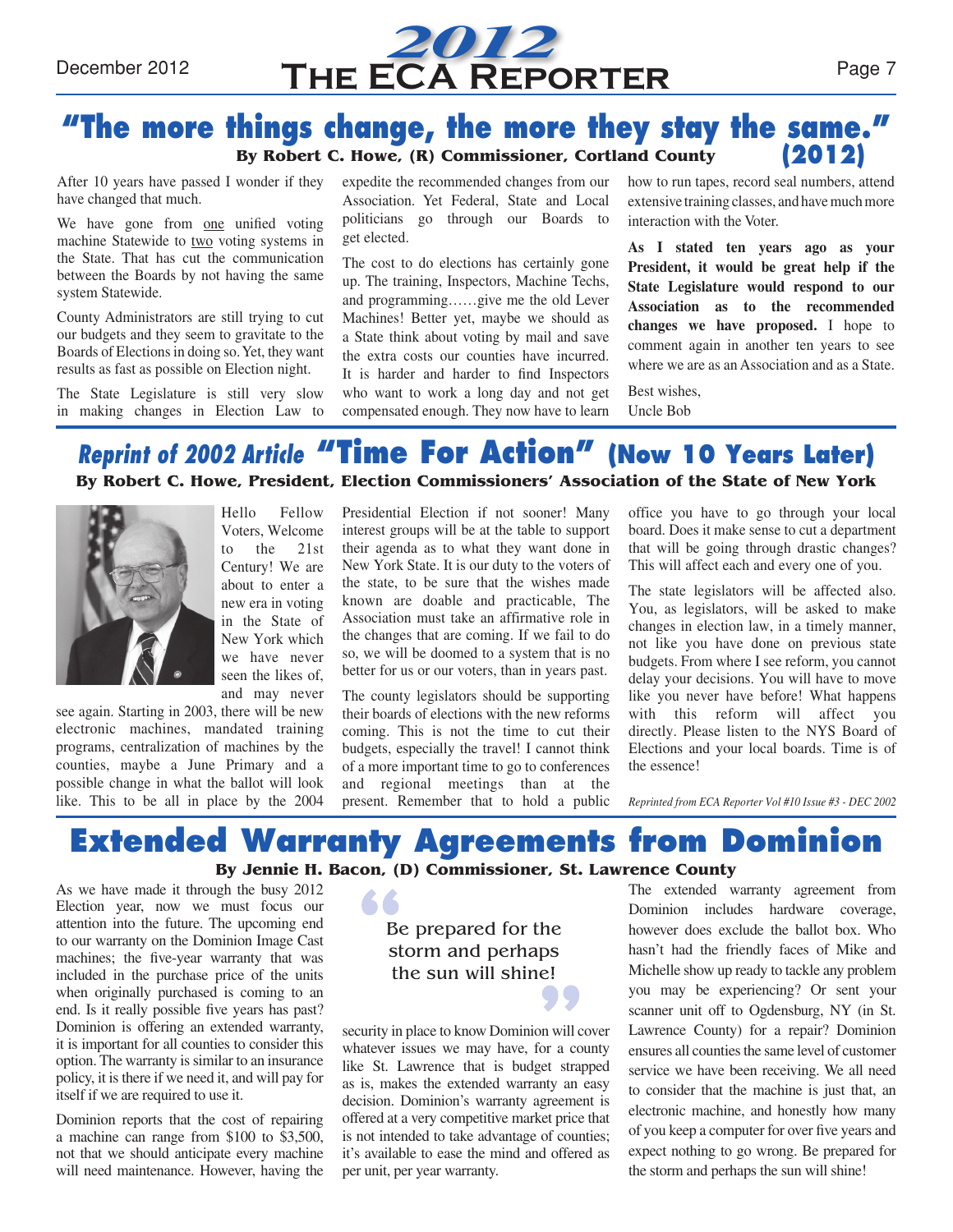

### **"The more things change, the more they stay the same." By Robert C. Howe, (R) Commissioner, Cortland County (2012)**

After 10 years have passed I wonder if they have changed that much.

We have gone from one unified voting machine Statewide to two voting systems in the State. That has cut the communication between the Boards by not having the same system Statewide.

County Administrators are still trying to cut our budgets and they seem to gravitate to the Boards of Elections in doing so. Yet, they want results as fast as possible on Election night.

The State Legislature is still very slow in making changes in Election Law to

expedite the recommended changes from our Association. Yet Federal, State and Local politicians go through our Boards to get elected.

The cost to do elections has certainly gone up. The training, Inspectors, Machine Techs, and programming……give me the old Lever Machines! Better yet, maybe we should as a State think about voting by mail and save the extra costs our counties have incurred. It is harder and harder to find Inspectors who want to work a long day and not get compensated enough. They now have to learn

how to run tapes, record seal numbers, attend extensive training classes, and have much more interaction with the Voter.

**As I stated ten years ago as your President, it would be great help if the State Legislature would respond to our Association as to the recommended changes we have proposed.** I hope to comment again in another ten years to see where we are as an Association and as a State.

Best wishes, Uncle Bob

### *Reprint of 2002 Article* **"Time For Action" (Now 10 Years Later) By Robert C. Howe, President, Election Commissioners' Association of the State of New York**



see again. Starting in 2003, there will be new electronic machines, mandated training programs, centralization of machines by the counties, maybe a June Primary and a possible change in what the ballot will look like. This to be all in place by the 2004

Presidential Election if not sooner! Many interest groups will be at the table to support their agenda as to what they want done in New York State. It is our duty to the voters of the state, to be sure that the wishes made known are doable and practicable, The Association must take an affirmative role in the changes that are coming. If we fail to do so, we will be doomed to a system that is no better for us or our voters, than in years past.

The county legislators should be supporting their boards of elections with the new reforms coming. This is not the time to cut their budgets, especially the travel! I cannot think of a more important time to go to conferences and regional meetings than at the present. Remember that to hold a public office you have to go through your local board. Does it make sense to cut a department that will be going through drastic changes? This will affect each and every one of you.

The state legislators will be affected also. You, as legislators, will be asked to make changes in election law, in a timely manner, not like you have done on previous state budgets. From where I see reform, you cannot delay your decisions. You will have to move like you never have before! What happens with this reform will affect you directly. Please listen to the NYS Board of Elections and your local boards. Time is of the essence!

*Reprinted from ECA Reporter Vol #10 Issue #3 - DEC 2002*

# **Extended Warranty Agreements from Dominion**

**By Jennie H. Bacon, (D) Commissioner, St. Lawrence County**

As we have made it through the busy 2012 Election year, now we must focus our attention into the future. The upcoming end to our warranty on the Dominion Image Cast machines; the five-year warranty that was included in the purchase price of the units when originally purchased is coming to an end. Is it really possible five years has past? Dominion is offering an extended warranty, it is important for all counties to consider this option. The warranty is similar to an insurance policy, it is there if we need it, and will pay for itself if we are required to use it.

Dominion reports that the cost of repairing a machine can range from \$100 to \$3,500, not that we should anticipate every machine will need maintenance. However, having the

### Be prepared for the storm and perhaps the sun will shine!

security in place to know Dominion will cover whatever issues we may have, for a county like St. Lawrence that is budget strapped as is, makes the extended warranty an easy decision. Dominion's warranty agreement is offered at a very competitive market price that is not intended to take advantage of counties; it's available to ease the mind and offered as per unit, per year warranty.

The extended warranty agreement from Dominion includes hardware coverage, however does exclude the ballot box. Who hasn't had the friendly faces of Mike and Michelle show up ready to tackle any problem you may be experiencing? Or sent your scanner unit off to Ogdensburg, NY (in St. Lawrence County) for a repair? Dominion ensures all counties the same level of customer service we have been receiving. We all need to consider that the machine is just that, an electronic machine, and honestly how many of you keep a computer for over five years and expect nothing to go wrong. Be prepared for the storm and perhaps the sun will shine!